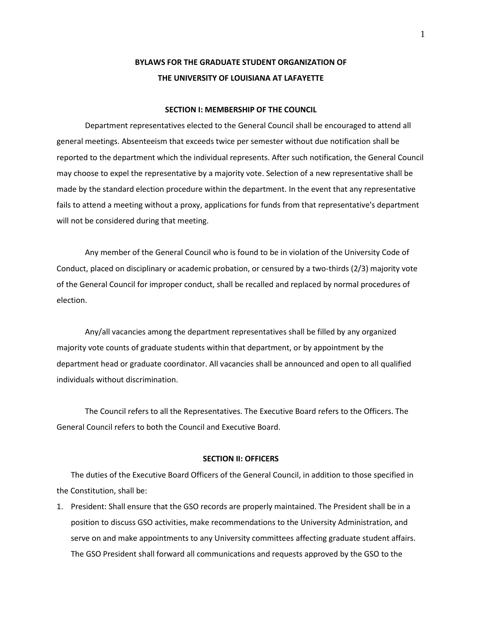# **BYLAWS FOR THE GRADUATE STUDENT ORGANIZATION OF THE UNIVERSITY OF LOUISIANA AT LAFAYETTE**

#### **SECTION I: MEMBERSHIP OF THE COUNCIL**

Department representatives elected to the General Council shall be encouraged to attend all general meetings. Absenteeism that exceeds twice per semester without due notification shall be reported to the department which the individual represents. After such notification, the General Council may choose to expel the representative by a majority vote. Selection of a new representative shall be made by the standard election procedure within the department. In the event that any representative fails to attend a meeting without a proxy, applications for funds from that representative's department will not be considered during that meeting.

Any member of the General Council who is found to be in violation of the University Code of Conduct, placed on disciplinary or academic probation, or censured by a two-thirds (2/3) majority vote of the General Council for improper conduct, shall be recalled and replaced by normal procedures of election.

Any/all vacancies among the department representatives shall be filled by any organized majority vote counts of graduate students within that department, or by appointment by the department head or graduate coordinator. All vacancies shall be announced and open to all qualified individuals without discrimination.

The Council refers to all the Representatives. The Executive Board refers to the Officers. The General Council refers to both the Council and Executive Board.

#### **SECTION II: OFFICERS**

The duties of the Executive Board Officers of the General Council, in addition to those specified in the Constitution, shall be:

1. President: Shall ensure that the GSO records are properly maintained. The President shall be in a position to discuss GSO activities, make recommendations to the University Administration, and serve on and make appointments to any University committees affecting graduate student affairs. The GSO President shall forward all communications and requests approved by the GSO to the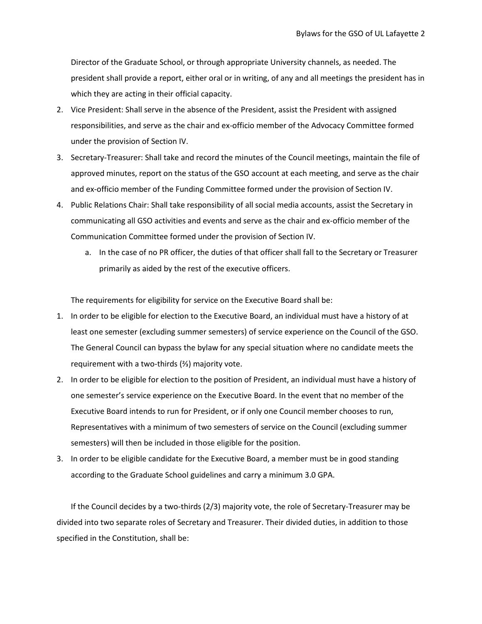Director of the Graduate School, or through appropriate University channels, as needed. The president shall provide a report, either oral or in writing, of any and all meetings the president has in which they are acting in their official capacity.

- 2. Vice President: Shall serve in the absence of the President, assist the President with assigned responsibilities, and serve as the chair and ex-officio member of the Advocacy Committee formed under the provision of Section IV.
- 3. Secretary-Treasurer: Shall take and record the minutes of the Council meetings, maintain the file of approved minutes, report on the status of the GSO account at each meeting, and serve as the chair and ex-officio member of the Funding Committee formed under the provision of Section IV.
- 4. Public Relations Chair: Shall take responsibility of all social media accounts, assist the Secretary in communicating all GSO activities and events and serve as the chair and ex-officio member of the Communication Committee formed under the provision of Section IV.
	- a. In the case of no PR officer, the duties of that officer shall fall to the Secretary or Treasurer primarily as aided by the rest of the executive officers.

The requirements for eligibility for service on the Executive Board shall be:

- 1. In order to be eligible for election to the Executive Board, an individual must have a history of at least one semester (excluding summer semesters) of service experience on the Council of the GSO. The General Council can bypass the bylaw for any special situation where no candidate meets the requirement with a two-thirds (⅔) majority vote.
- 2. In order to be eligible for election to the position of President, an individual must have a history of one semester's service experience on the Executive Board. In the event that no member of the Executive Board intends to run for President, or if only one Council member chooses to run, Representatives with a minimum of two semesters of service on the Council (excluding summer semesters) will then be included in those eligible for the position.
- 3. In order to be eligible candidate for the Executive Board, a member must be in good standing according to the Graduate School guidelines and carry a minimum 3.0 GPA.

If the Council decides by a two-thirds (2/3) majority vote, the role of Secretary-Treasurer may be divided into two separate roles of Secretary and Treasurer. Their divided duties, in addition to those specified in the Constitution, shall be: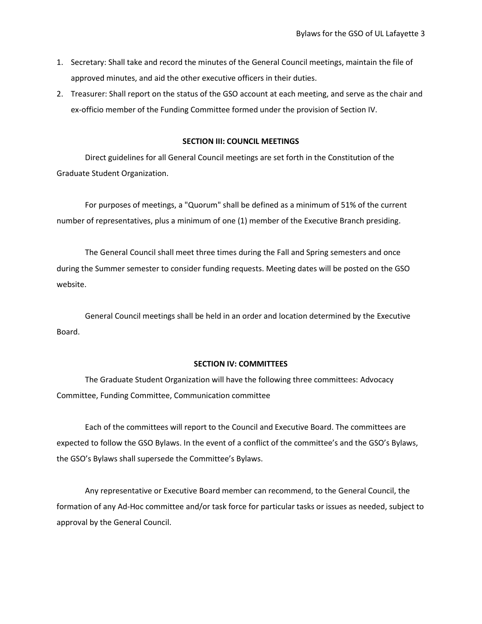- 1. Secretary: Shall take and record the minutes of the General Council meetings, maintain the file of approved minutes, and aid the other executive officers in their duties.
- 2. Treasurer: Shall report on the status of the GSO account at each meeting, and serve as the chair and ex-officio member of the Funding Committee formed under the provision of Section IV.

#### **SECTION III: COUNCIL MEETINGS**

Direct guidelines for all General Council meetings are set forth in the Constitution of the Graduate Student Organization.

For purposes of meetings, a "Quorum" shall be defined as a minimum of 51% of the current number of representatives, plus a minimum of one (1) member of the Executive Branch presiding.

The General Council shall meet three times during the Fall and Spring semesters and once during the Summer semester to consider funding requests. Meeting dates will be posted on the GSO website.

General Council meetings shall be held in an order and location determined by the Executive Board.

#### **SECTION IV: COMMITTEES**

The Graduate Student Organization will have the following three committees: Advocacy Committee, Funding Committee, Communication committee

Each of the committees will report to the Council and Executive Board. The committees are expected to follow the GSO Bylaws. In the event of a conflict of the committee's and the GSO's Bylaws, the GSO's Bylaws shall supersede the Committee's Bylaws.

Any representative or Executive Board member can recommend, to the General Council, the formation of any Ad-Hoc committee and/or task force for particular tasks or issues as needed, subject to approval by the General Council.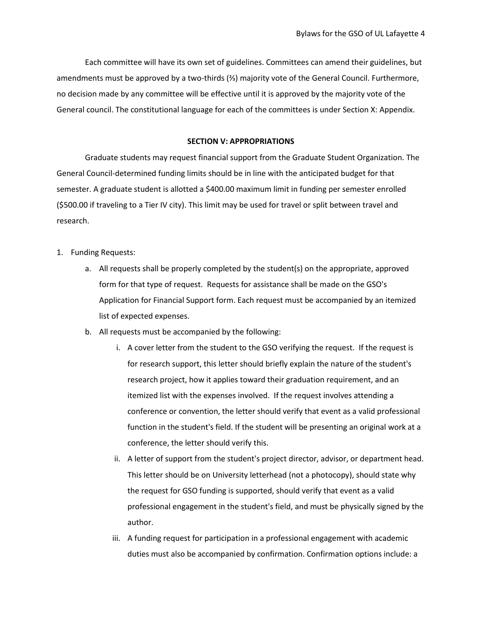Each committee will have its own set of guidelines. Committees can amend their guidelines, but amendments must be approved by a two-thirds (⅔) majority vote of the General Council. Furthermore, no decision made by any committee will be effective until it is approved by the majority vote of the General council. The constitutional language for each of the committees is under Section X: Appendix.

#### **SECTION V: APPROPRIATIONS**

Graduate students may request financial support from the Graduate Student Organization. The General Council-determined funding limits should be in line with the anticipated budget for that semester. A graduate student is allotted a \$400.00 maximum limit in funding per semester enrolled (\$500.00 if traveling to a Tier IV city). This limit may be used for travel or split between travel and research.

- 1. Funding Requests:
	- a. All requests shall be properly completed by the student(s) on the appropriate, approved form for that type of request. Requests for assistance shall be made on the GSO's Application for Financial Support form. Each request must be accompanied by an itemized list of expected expenses.
	- b. All requests must be accompanied by the following:
		- i. A cover letter from the student to the GSO verifying the request. If the request is for research support, this letter should briefly explain the nature of the student's research project, how it applies toward their graduation requirement, and an itemized list with the expenses involved. If the request involves attending a conference or convention, the letter should verify that event as a valid professional function in the student's field. If the student will be presenting an original work at a conference, the letter should verify this.
		- ii. A letter of support from the student's project director, advisor, or department head. This letter should be on University letterhead (not a photocopy), should state why the request for GSO funding is supported, should verify that event as a valid professional engagement in the student's field, and must be physically signed by the author.
		- iii. A funding request for participation in a professional engagement with academic duties must also be accompanied by confirmation. Confirmation options include: a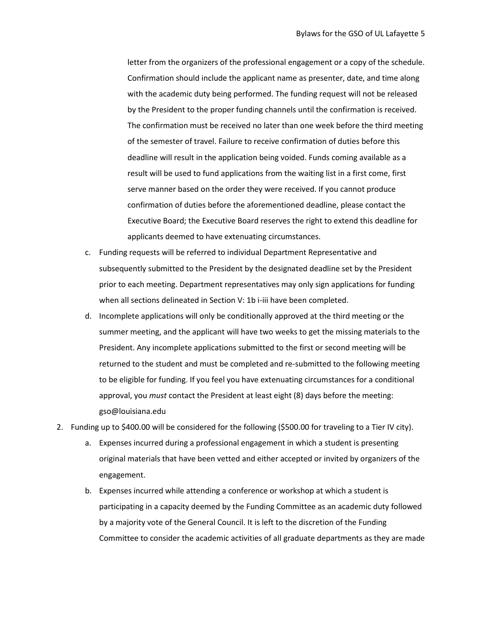letter from the organizers of the professional engagement or a copy of the schedule. Confirmation should include the applicant name as presenter, date, and time along with the academic duty being performed. The funding request will not be released by the President to the proper funding channels until the confirmation is received. The confirmation must be received no later than one week before the third meeting of the semester of travel. Failure to receive confirmation of duties before this deadline will result in the application being voided. Funds coming available as a result will be used to fund applications from the waiting list in a first come, first serve manner based on the order they were received. If you cannot produce confirmation of duties before the aforementioned deadline, please contact the Executive Board; the Executive Board reserves the right to extend this deadline for applicants deemed to have extenuating circumstances.

- c. Funding requests will be referred to individual Department Representative and subsequently submitted to the President by the designated deadline set by the President prior to each meeting. Department representatives may only sign applications for funding when all sections delineated in Section V: 1b i-iii have been completed.
- d. Incomplete applications will only be conditionally approved at the third meeting or the summer meeting, and the applicant will have two weeks to get the missing materials to the President. Any incomplete applications submitted to the first or second meeting will be returned to the student and must be completed and re-submitted to the following meeting to be eligible for funding. If you feel you have extenuating circumstances for a conditional approval, you *must* contact the President at least eight (8) days before the meeting: gso@louisiana.edu
- 2. Funding up to \$400.00 will be considered for the following (\$500.00 for traveling to a Tier IV city).
	- a. Expenses incurred during a professional engagement in which a student is presenting original materials that have been vetted and either accepted or invited by organizers of the engagement.
	- b. Expenses incurred while attending a conference or workshop at which a student is participating in a capacity deemed by the Funding Committee as an academic duty followed by a majority vote of the General Council. It is left to the discretion of the Funding Committee to consider the academic activities of all graduate departments as they are made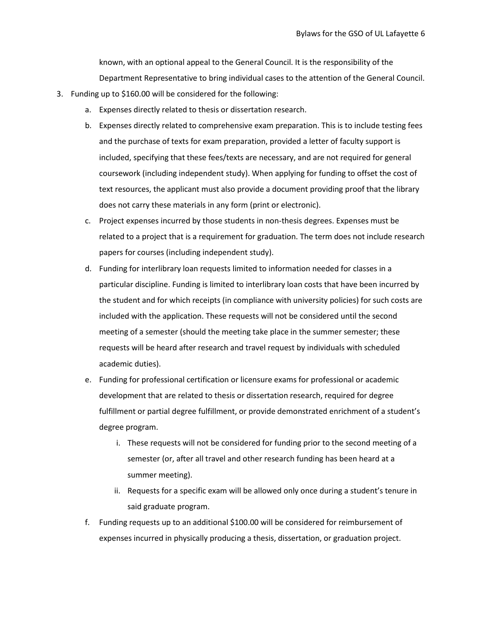known, with an optional appeal to the General Council. It is the responsibility of the Department Representative to bring individual cases to the attention of the General Council.

- 3. Funding up to \$160.00 will be considered for the following:
	- a. Expenses directly related to thesis or dissertation research.
	- b. Expenses directly related to comprehensive exam preparation. This is to include testing fees and the purchase of texts for exam preparation, provided a letter of faculty support is included, specifying that these fees/texts are necessary, and are not required for general coursework (including independent study). When applying for funding to offset the cost of text resources, the applicant must also provide a document providing proof that the library does not carry these materials in any form (print or electronic).
	- c. Project expenses incurred by those students in non-thesis degrees. Expenses must be related to a project that is a requirement for graduation. The term does not include research papers for courses (including independent study).
	- d. Funding for interlibrary loan requests limited to information needed for classes in a particular discipline. Funding is limited to interlibrary loan costs that have been incurred by the student and for which receipts (in compliance with university policies) for such costs are included with the application. These requests will not be considered until the second meeting of a semester (should the meeting take place in the summer semester; these requests will be heard after research and travel request by individuals with scheduled academic duties).
	- e. Funding for professional certification or licensure exams for professional or academic development that are related to thesis or dissertation research, required for degree fulfillment or partial degree fulfillment, or provide demonstrated enrichment of a student's degree program.
		- i. These requests will not be considered for funding prior to the second meeting of a semester (or, after all travel and other research funding has been heard at a summer meeting).
		- ii. Requests for a specific exam will be allowed only once during a student's tenure in said graduate program.
	- f. Funding requests up to an additional \$100.00 will be considered for reimbursement of expenses incurred in physically producing a thesis, dissertation, or graduation project.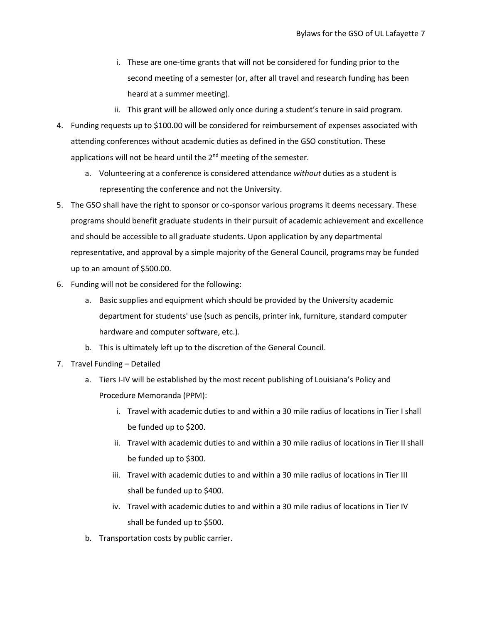- i. These are one-time grants that will not be considered for funding prior to the second meeting of a semester (or, after all travel and research funding has been heard at a summer meeting).
- ii. This grant will be allowed only once during a student's tenure in said program.
- 4. Funding requests up to \$100.00 will be considered for reimbursement of expenses associated with attending conferences without academic duties as defined in the GSO constitution. These applications will not be heard until the  $2<sup>nd</sup>$  meeting of the semester.
	- a. Volunteering at a conference is considered attendance *without* duties as a student is representing the conference and not the University.
- 5. The GSO shall have the right to sponsor or co-sponsor various programs it deems necessary. These programs should benefit graduate students in their pursuit of academic achievement and excellence and should be accessible to all graduate students. Upon application by any departmental representative, and approval by a simple majority of the General Council, programs may be funded up to an amount of \$500.00.
- 6. Funding will not be considered for the following:
	- a. Basic supplies and equipment which should be provided by the University academic department for students' use (such as pencils, printer ink, furniture, standard computer hardware and computer software, etc.).
	- b. This is ultimately left up to the discretion of the General Council.
- 7. Travel Funding Detailed
	- a. Tiers I-IV will be established by the most recent publishing of Louisiana's Policy and Procedure Memoranda (PPM):
		- i. Travel with academic duties to and within a 30 mile radius of locations in Tier I shall be funded up to \$200.
		- ii. Travel with academic duties to and within a 30 mile radius of locations in Tier II shall be funded up to \$300.
		- iii. Travel with academic duties to and within a 30 mile radius of locations in Tier III shall be funded up to \$400.
		- iv. Travel with academic duties to and within a 30 mile radius of locations in Tier IV shall be funded up to \$500.
	- b. Transportation costs by public carrier.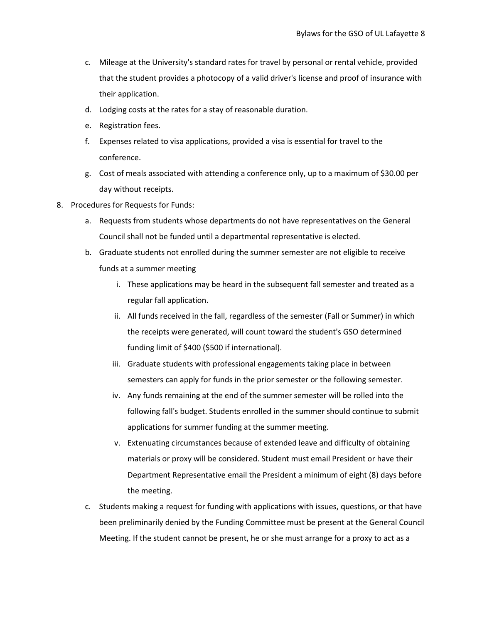- c. Mileage at the University's standard rates for travel by personal or rental vehicle, provided that the student provides a photocopy of a valid driver's license and proof of insurance with their application.
- d. Lodging costs at the rates for a stay of reasonable duration.
- e. Registration fees.
- f. Expenses related to visa applications, provided a visa is essential for travel to the conference.
- g. Cost of meals associated with attending a conference only, up to a maximum of \$30.00 per day without receipts.
- 8. Procedures for Requests for Funds:
	- a. Requests from students whose departments do not have representatives on the General Council shall not be funded until a departmental representative is elected.
	- b. Graduate students not enrolled during the summer semester are not eligible to receive funds at a summer meeting
		- i. These applications may be heard in the subsequent fall semester and treated as a regular fall application.
		- ii. All funds received in the fall, regardless of the semester (Fall or Summer) in which the receipts were generated, will count toward the student's GSO determined funding limit of \$400 (\$500 if international).
		- iii. Graduate students with professional engagements taking place in between semesters can apply for funds in the prior semester or the following semester.
		- iv. Any funds remaining at the end of the summer semester will be rolled into the following fall's budget. Students enrolled in the summer should continue to submit applications for summer funding at the summer meeting.
		- v. Extenuating circumstances because of extended leave and difficulty of obtaining materials or proxy will be considered. Student must email President or have their Department Representative email the President a minimum of eight (8) days before the meeting.
	- c. Students making a request for funding with applications with issues, questions, or that have been preliminarily denied by the Funding Committee must be present at the General Council Meeting. If the student cannot be present, he or she must arrange for a proxy to act as a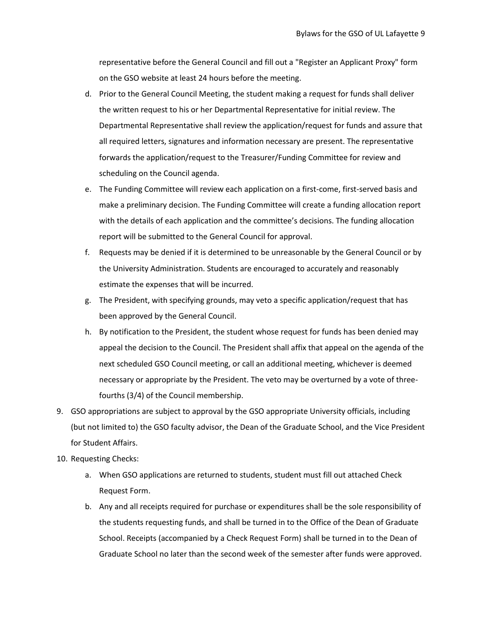representative before the General Council and fill out a "Register an Applicant Proxy" form on the GSO website at least 24 hours before the meeting.

- d. Prior to the General Council Meeting, the student making a request for funds shall deliver the written request to his or her Departmental Representative for initial review. The Departmental Representative shall review the application/request for funds and assure that all required letters, signatures and information necessary are present. The representative forwards the application/request to the Treasurer/Funding Committee for review and scheduling on the Council agenda.
- e. The Funding Committee will review each application on a first-come, first-served basis and make a preliminary decision. The Funding Committee will create a funding allocation report with the details of each application and the committee's decisions. The funding allocation report will be submitted to the General Council for approval.
- f. Requests may be denied if it is determined to be unreasonable by the General Council or by the University Administration. Students are encouraged to accurately and reasonably estimate the expenses that will be incurred.
- g. The President, with specifying grounds, may veto a specific application/request that has been approved by the General Council.
- h. By notification to the President, the student whose request for funds has been denied may appeal the decision to the Council. The President shall affix that appeal on the agenda of the next scheduled GSO Council meeting, or call an additional meeting, whichever is deemed necessary or appropriate by the President. The veto may be overturned by a vote of threefourths (3/4) of the Council membership.
- 9. GSO appropriations are subject to approval by the GSO appropriate University officials, including (but not limited to) the GSO faculty advisor, the Dean of the Graduate School, and the Vice President for Student Affairs.
- 10. Requesting Checks:
	- a. When GSO applications are returned to students, student must fill out attached Check Request Form.
	- b. Any and all receipts required for purchase or expenditures shall be the sole responsibility of the students requesting funds, and shall be turned in to the Office of the Dean of Graduate School. Receipts (accompanied by a Check Request Form) shall be turned in to the Dean of Graduate School no later than the second week of the semester after funds were approved.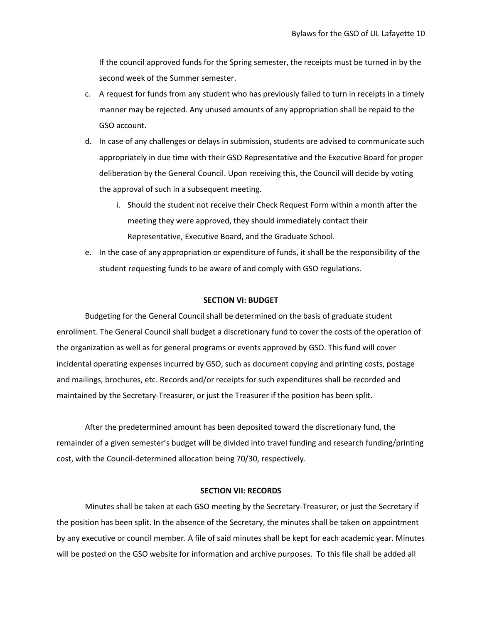If the council approved funds for the Spring semester, the receipts must be turned in by the second week of the Summer semester.

- c. A request for funds from any student who has previously failed to turn in receipts in a timely manner may be rejected. Any unused amounts of any appropriation shall be repaid to the GSO account.
- d. In case of any challenges or delays in submission, students are advised to communicate such appropriately in due time with their GSO Representative and the Executive Board for proper deliberation by the General Council. Upon receiving this, the Council will decide by voting the approval of such in a subsequent meeting.
	- i. Should the student not receive their Check Request Form within a month after the meeting they were approved, they should immediately contact their Representative, Executive Board, and the Graduate School.
- e. In the case of any appropriation or expenditure of funds, it shall be the responsibility of the student requesting funds to be aware of and comply with GSO regulations.

## **SECTION VI: BUDGET**

Budgeting for the General Council shall be determined on the basis of graduate student enrollment. The General Council shall budget a discretionary fund to cover the costs of the operation of the organization as well as for general programs or events approved by GSO. This fund will cover incidental operating expenses incurred by GSO, such as document copying and printing costs, postage and mailings, brochures, etc. Records and/or receipts for such expenditures shall be recorded and maintained by the Secretary-Treasurer, or just the Treasurer if the position has been split.

After the predetermined amount has been deposited toward the discretionary fund, the remainder of a given semester's budget will be divided into travel funding and research funding/printing cost, with the Council-determined allocation being 70/30, respectively.

#### **SECTION VII: RECORDS**

Minutes shall be taken at each GSO meeting by the Secretary-Treasurer, or just the Secretary if the position has been split. In the absence of the Secretary, the minutes shall be taken on appointment by any executive or council member. A file of said minutes shall be kept for each academic year. Minutes will be posted on the GSO website for information and archive purposes. To this file shall be added all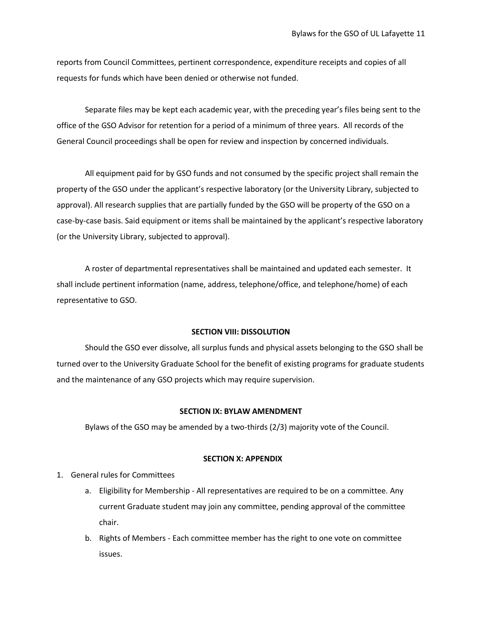reports from Council Committees, pertinent correspondence, expenditure receipts and copies of all requests for funds which have been denied or otherwise not funded.

Separate files may be kept each academic year, with the preceding year's files being sent to the office of the GSO Advisor for retention for a period of a minimum of three years. All records of the General Council proceedings shall be open for review and inspection by concerned individuals.

All equipment paid for by GSO funds and not consumed by the specific project shall remain the property of the GSO under the applicant's respective laboratory (or the University Library, subjected to approval). All research supplies that are partially funded by the GSO will be property of the GSO on a case-by-case basis. Said equipment or items shall be maintained by the applicant's respective laboratory (or the University Library, subjected to approval).

A roster of departmental representatives shall be maintained and updated each semester. It shall include pertinent information (name, address, telephone/office, and telephone/home) of each representative to GSO.

#### **SECTION VIII: DISSOLUTION**

Should the GSO ever dissolve, all surplus funds and physical assets belonging to the GSO shall be turned over to the University Graduate School for the benefit of existing programs for graduate students and the maintenance of any GSO projects which may require supervision.

## **SECTION IX: BYLAW AMENDMENT**

Bylaws of the GSO may be amended by a two-thirds (2/3) majority vote of the Council.

### **SECTION X: APPENDIX**

- 1. General rules for Committees
	- a. Eligibility for Membership All representatives are required to be on a committee. Any current Graduate student may join any committee, pending approval of the committee chair.
	- b. Rights of Members Each committee member has the right to one vote on committee issues.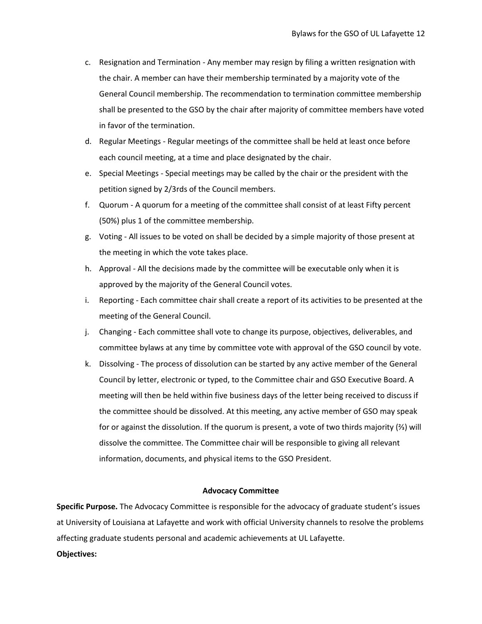- c. Resignation and Termination Any member may resign by filing a written resignation with the chair. A member can have their membership terminated by a majority vote of the General Council membership. The recommendation to termination committee membership shall be presented to the GSO by the chair after majority of committee members have voted in favor of the termination.
- d. Regular Meetings Regular meetings of the committee shall be held at least once before each council meeting, at a time and place designated by the chair.
- e. Special Meetings Special meetings may be called by the chair or the president with the petition signed by 2/3rds of the Council members.
- f. Quorum A quorum for a meeting of the committee shall consist of at least Fifty percent (50%) plus 1 of the committee membership.
- g. Voting All issues to be voted on shall be decided by a simple majority of those present at the meeting in which the vote takes place.
- h. Approval All the decisions made by the committee will be executable only when it is approved by the majority of the General Council votes.
- i. Reporting Each committee chair shall create a report of its activities to be presented at the meeting of the General Council.
- j. Changing Each committee shall vote to change its purpose, objectives, deliverables, and committee bylaws at any time by committee vote with approval of the GSO council by vote.
- k. Dissolving The process of dissolution can be started by any active member of the General Council by letter, electronic or typed, to the Committee chair and GSO Executive Board. A meeting will then be held within five business days of the letter being received to discuss if the committee should be dissolved. At this meeting, any active member of GSO may speak for or against the dissolution. If the quorum is present, a vote of two thirds majority (⅔) will dissolve the committee. The Committee chair will be responsible to giving all relevant information, documents, and physical items to the GSO President.

## **Advocacy Committee**

**Specific Purpose.** The Advocacy Committee is responsible for the advocacy of graduate student's issues at University of Louisiana at Lafayette and work with official University channels to resolve the problems affecting graduate students personal and academic achievements at UL Lafayette.

## **Objectives:**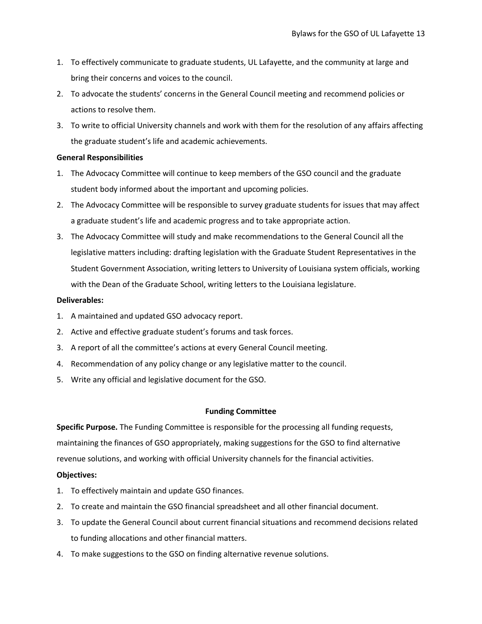- 1. To effectively communicate to graduate students, UL Lafayette, and the community at large and bring their concerns and voices to the council.
- 2. To advocate the students' concerns in the General Council meeting and recommend policies or actions to resolve them.
- 3. To write to official University channels and work with them for the resolution of any affairs affecting the graduate student's life and academic achievements.

## **General Responsibilities**

- 1. The Advocacy Committee will continue to keep members of the GSO council and the graduate student body informed about the important and upcoming policies.
- 2. The Advocacy Committee will be responsible to survey graduate students for issues that may affect a graduate student's life and academic progress and to take appropriate action.
- 3. The Advocacy Committee will study and make recommendations to the General Council all the legislative matters including: drafting legislation with the Graduate Student Representatives in the Student Government Association, writing letters to University of Louisiana system officials, working with the Dean of the Graduate School, writing letters to the Louisiana legislature.

## **Deliverables:**

- 1. A maintained and updated GSO advocacy report.
- 2. Active and effective graduate student's forums and task forces.
- 3. A report of all the committee's actions at every General Council meeting.
- 4. Recommendation of any policy change or any legislative matter to the council.
- 5. Write any official and legislative document for the GSO.

# **Funding Committee**

**Specific Purpose.** The Funding Committee is responsible for the processing all funding requests, maintaining the finances of GSO appropriately, making suggestions for the GSO to find alternative revenue solutions, and working with official University channels for the financial activities.

# **Objectives:**

- 1. To effectively maintain and update GSO finances.
- 2. To create and maintain the GSO financial spreadsheet and all other financial document.
- 3. To update the General Council about current financial situations and recommend decisions related to funding allocations and other financial matters.
- 4. To make suggestions to the GSO on finding alternative revenue solutions.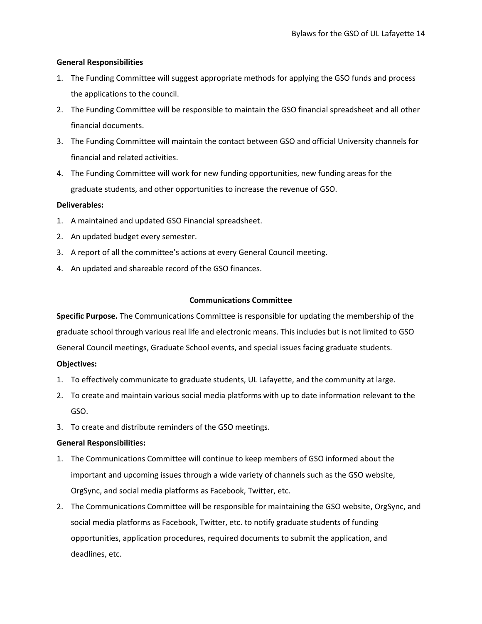# **General Responsibilities**

- 1. The Funding Committee will suggest appropriate methods for applying the GSO funds and process the applications to the council.
- 2. The Funding Committee will be responsible to maintain the GSO financial spreadsheet and all other financial documents.
- 3. The Funding Committee will maintain the contact between GSO and official University channels for financial and related activities.
- 4. The Funding Committee will work for new funding opportunities, new funding areas for the graduate students, and other opportunities to increase the revenue of GSO.

# **Deliverables:**

- 1. A maintained and updated GSO Financial spreadsheet.
- 2. An updated budget every semester.
- 3. A report of all the committee's actions at every General Council meeting.
- 4. An updated and shareable record of the GSO finances.

# **Communications Committee**

**Specific Purpose.** The Communications Committee is responsible for updating the membership of the graduate school through various real life and electronic means. This includes but is not limited to GSO General Council meetings, Graduate School events, and special issues facing graduate students.

# **Objectives:**

- 1. To effectively communicate to graduate students, UL Lafayette, and the community at large.
- 2. To create and maintain various social media platforms with up to date information relevant to the GSO.
- 3. To create and distribute reminders of the GSO meetings.

# **General Responsibilities:**

- 1. The Communications Committee will continue to keep members of GSO informed about the important and upcoming issues through a wide variety of channels such as the GSO website, OrgSync, and social media platforms as Facebook, Twitter, etc.
- 2. The Communications Committee will be responsible for maintaining the GSO website, OrgSync, and social media platforms as Facebook, Twitter, etc. to notify graduate students of funding opportunities, application procedures, required documents to submit the application, and deadlines, etc.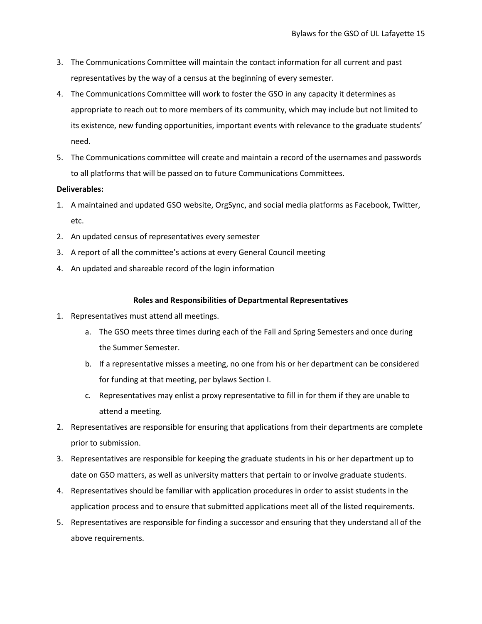- 3. The Communications Committee will maintain the contact information for all current and past representatives by the way of a census at the beginning of every semester.
- 4. The Communications Committee will work to foster the GSO in any capacity it determines as appropriate to reach out to more members of its community, which may include but not limited to its existence, new funding opportunities, important events with relevance to the graduate students' need.
- 5. The Communications committee will create and maintain a record of the usernames and passwords to all platforms that will be passed on to future Communications Committees.

# **Deliverables:**

- 1. A maintained and updated GSO website, OrgSync, and social media platforms as Facebook, Twitter, etc.
- 2. An updated census of representatives every semester
- 3. A report of all the committee's actions at every General Council meeting
- 4. An updated and shareable record of the login information

## **Roles and Responsibilities of Departmental Representatives**

- 1. Representatives must attend all meetings.
	- a. The GSO meets three times during each of the Fall and Spring Semesters and once during the Summer Semester.
	- b. If a representative misses a meeting, no one from his or her department can be considered for funding at that meeting, per bylaws Section I.
	- c. Representatives may enlist a proxy representative to fill in for them if they are unable to attend a meeting.
- 2. Representatives are responsible for ensuring that applications from their departments are complete prior to submission.
- 3. Representatives are responsible for keeping the graduate students in his or her department up to date on GSO matters, as well as university matters that pertain to or involve graduate students.
- 4. Representatives should be familiar with application procedures in order to assist students in the application process and to ensure that submitted applications meet all of the listed requirements.
- 5. Representatives are responsible for finding a successor and ensuring that they understand all of the above requirements.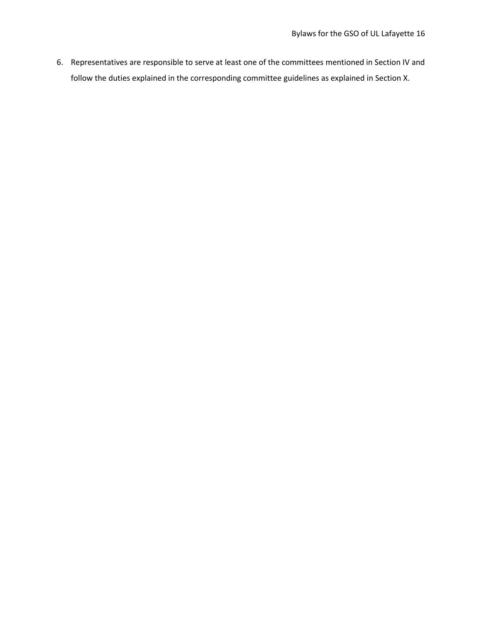6. Representatives are responsible to serve at least one of the committees mentioned in Section IV and follow the duties explained in the corresponding committee guidelines as explained in Section X.